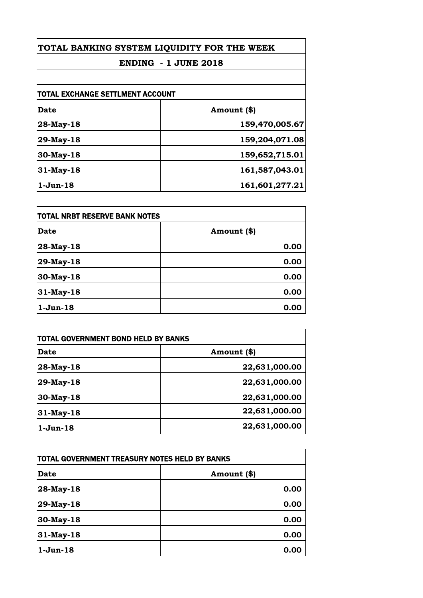| TOTAL BANKING SYSTEM LIQUIDITY FOR THE WEEK<br><b>ENDING - 1 JUNE 2018</b> |                |
|----------------------------------------------------------------------------|----------------|
|                                                                            |                |
| <b>TOTAL EXCHANGE SETTLMENT ACCOUNT</b>                                    |                |
| <b>Date</b>                                                                | Amount (\$)    |
| 28-May-18                                                                  | 159,470,005.67 |
| 29-May-18                                                                  | 159,204,071.08 |
| 30-May-18                                                                  | 159,652,715.01 |
| $31$ -May-18                                                               | 161,587,043.01 |
| $1-Jun-18$                                                                 | 161,601,277.21 |

| <b>TOTAL NRBT RESERVE BANK NOTES</b> |             |
|--------------------------------------|-------------|
| Date                                 | Amount (\$) |
| 28-May-18                            | 0.00        |
| 29-May-18                            | 0.00        |
| 30-May-18                            | 0.00        |
| 31-May-18                            | 0.00        |
| $1-Jun-18$                           | 0.00        |

| TOTAL GOVERNMENT BOND HELD BY BANKS           |               |
|-----------------------------------------------|---------------|
| <b>Date</b>                                   | Amount (\$)   |
| 28-May-18                                     | 22,631,000.00 |
| 29-May-18                                     | 22,631,000.00 |
| 30-May-18                                     | 22,631,000.00 |
| $31$ -May-18                                  | 22,631,000.00 |
| $1-Jun-18$                                    | 22,631,000.00 |
|                                               |               |
| TOTAL GOVERNMENT TREASURY NOTES HELD BY BANKS |               |
| <b>Date</b>                                   | Amount (\$)   |
| 28-May-18                                     | 0.00          |
|                                               |               |

| 28-May-18  | 0.00 |
|------------|------|
| 29-May-18  | 0.00 |
| 30-May-18  | 0.00 |
| 31-May-18  | 0.00 |
| $1-Jun-18$ | 0.00 |
|            |      |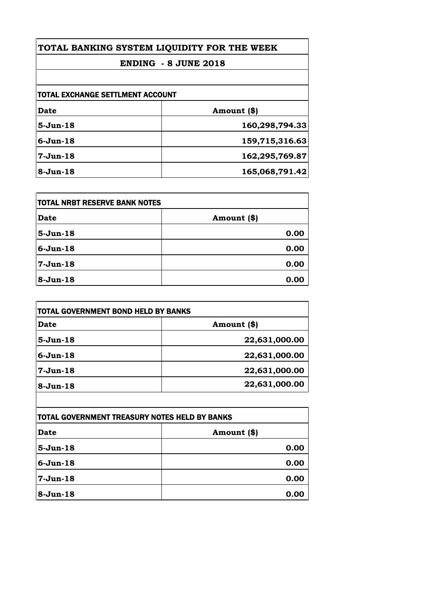## **TOTAL BANKING SYSTEM LIQUIDITY FOR THE WEEK**

## **ENDING - 8 JUNE 2018**

| Date         | Amount (\$)    |
|--------------|----------------|
| $5-Jun-18$   | 160,298,794.33 |
| $6 - Jun-18$ | 159,715,316.63 |
| $7-Jun-18$   | 162,295,769.87 |
| $8-Jun-18$   | 165,068,791.42 |

| <b>TOTAL NRBT RESERVE BANK NOTES</b> |             |
|--------------------------------------|-------------|
| Date                                 | Amount (\$) |
| $5-Jun-18$                           | 0.00        |
| $6-Jun-18$                           | 0.00        |
| $7-Jun-18$                           | 0.00        |
| $8-Jun-18$                           | 0.00        |

| TOTAL GOVERNMENT BOND HELD BY BANKS |               |
|-------------------------------------|---------------|
| <b>Date</b>                         | Amount (\$)   |
| $5-Jun-18$                          | 22,631,000.00 |
| $6 - Jun-18$                        | 22,631,000.00 |
| $7-Jun-18$                          | 22,631,000.00 |
| $8-Jun-18$                          | 22,631,000.00 |

| TOTAL GOVERNMENT TREASURY NOTES HELD BY BANKS |             |
|-----------------------------------------------|-------------|
| <b>Date</b>                                   | Amount (\$) |
| $5 - Jun-18$                                  | 0.00        |
| $6 - Jun-18$                                  | 0.00        |
| $7-Jun-18$                                    | 0.00        |
| $8-Jun-18$                                    | 0.00        |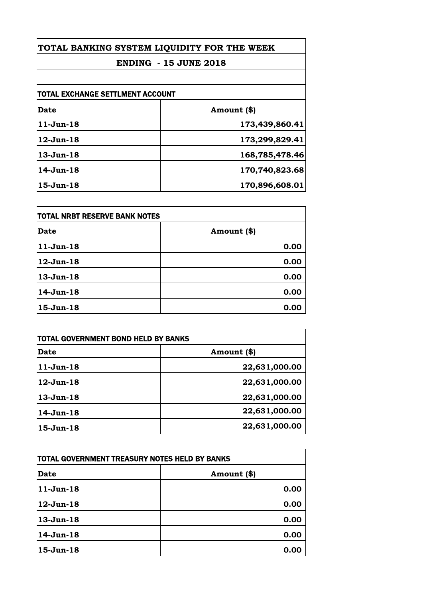| TOTAL BANKING SYSTEM LIQUIDITY FOR THE WEEK<br><b>ENDING - 15 JUNE 2018</b> |                |
|-----------------------------------------------------------------------------|----------------|
|                                                                             |                |
| TOTAL EXCHANGE SETTLMENT ACCOUNT                                            |                |
| <b>Date</b>                                                                 | Amount (\$)    |
| $11-Jun-18$                                                                 | 173,439,860.41 |
| 12-Jun-18                                                                   | 173,299,829.41 |
| $13-Jun-18$                                                                 | 168,785,478.46 |
| $14$ -Jun- $18$                                                             | 170,740,823.68 |
| $15-Jun-18$                                                                 | 170,896,608.01 |

| <b>TOTAL NRBT RESERVE BANK NOTES</b> |             |
|--------------------------------------|-------------|
| Date                                 | Amount (\$) |
| $11-Jun-18$                          | 0.00        |
| $12-Jun-18$                          | 0.00        |
| $13-Jun-18$                          | 0.00        |
| 14-Jun-18                            | 0.00        |
| $15-Jun-18$                          | 0.00        |

| <b>Date</b>     | Amount (\$)   |
|-----------------|---------------|
| $11-Jun-18$     | 22,631,000.00 |
| $12$ -Jun- $18$ | 22,631,000.00 |
| $13 - Jun-18$   | 22,631,000.00 |
| 14-Jun-18       | 22,631,000.00 |
| 15-Jun-18       | 22,631,000.00 |
|                 |               |

| TOTAL GOVERNMENT TREASURY NOTES HELD BY BANKS |             |
|-----------------------------------------------|-------------|
| <b>Date</b>                                   | Amount (\$) |
| $11-Jun-18$                                   | 0.00        |
| $12-Jun-18$                                   | 0.00        |
| $13-Jun-18$                                   | 0.00        |
| 14-Jun-18                                     | 0.00        |
| $15-Jun-18$                                   | 0.00        |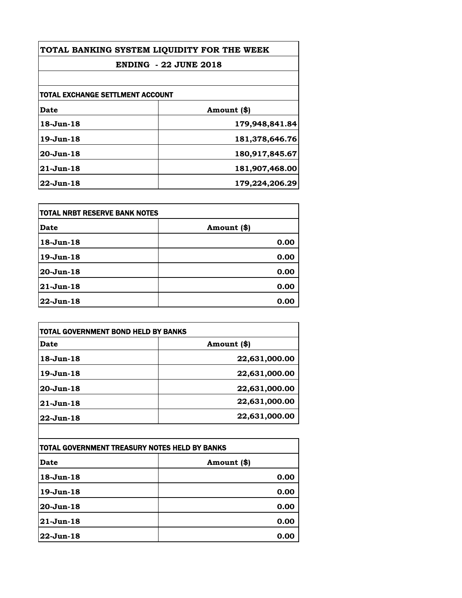| TOTAL BANKING SYSTEM LIQUIDITY FOR THE WEEK<br><b>ENDING - 22 JUNE 2018</b> |                |
|-----------------------------------------------------------------------------|----------------|
|                                                                             |                |
| TOTAL EXCHANGE SETTLMENT ACCOUNT                                            |                |
| Date                                                                        | Amount (\$)    |
| 18-Jun-18                                                                   | 179,948,841.84 |
| 19-Jun-18                                                                   | 181,378,646.76 |
| $20 - Jun-18$                                                               | 180,917,845.67 |
| $21$ -Jun-18                                                                | 181,907,468.00 |
| $22$ -Jun-18                                                                | 179,224,206.29 |

| <b>TOTAL NRBT RESERVE BANK NOTES</b> |             |
|--------------------------------------|-------------|
| Date                                 | Amount (\$) |
| 18-Jun-18                            | 0.00        |
| 19-Jun-18                            | 0.00        |
| 20-Jun-18                            | 0.00        |
| 21-Jun-18                            | 0.00        |
| 22-Jun-18                            | 0.00        |

| TOTAL GOVERNMENT BOND HELD BY BANKS |               |
|-------------------------------------|---------------|
| Date                                | Amount (\$)   |
| $18$ -Jun- $18$                     | 22,631,000.00 |
| 19-Jun-18                           | 22,631,000.00 |
| $20 - Jun-18$                       | 22,631,000.00 |
| 21-Jun-18                           | 22,631,000.00 |
| $22$ -Jun-18                        | 22,631,000.00 |

| ITOTAL GOVERNMENT TREASURY NOTES HELD BY BANKS |             |
|------------------------------------------------|-------------|
| Date                                           | Amount (\$) |
| 18-Jun-18                                      | 0.00        |
| $19$ -Jun-18                                   | 0.00        |
| $20$ -Jun-18                                   | 0.00        |
| 21-Jun-18                                      | 0.00        |
| 22-Jun-18                                      | 0.00        |